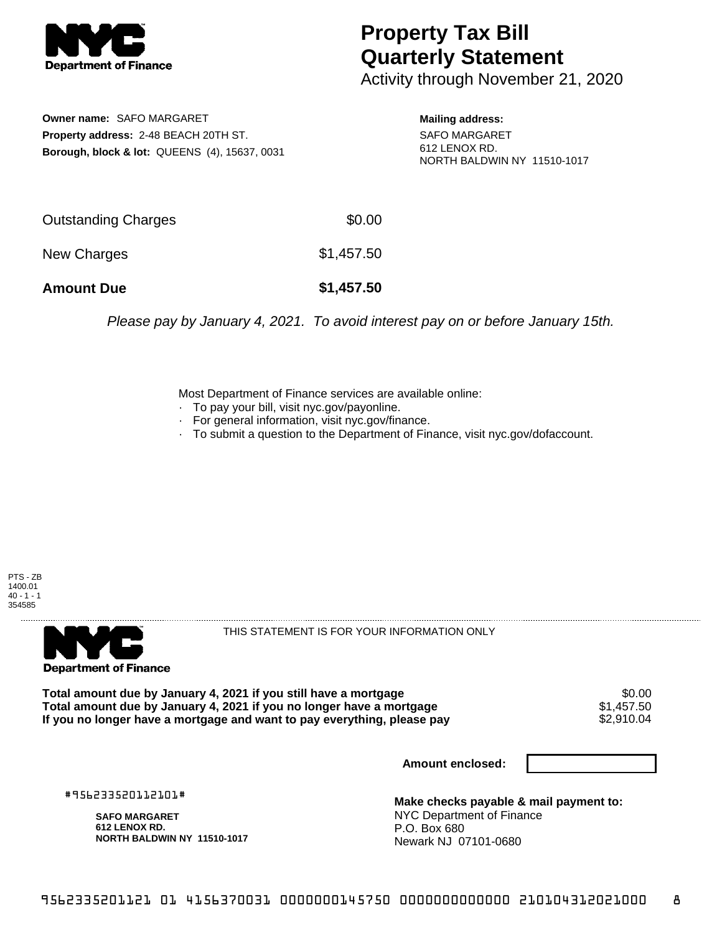

## **Property Tax Bill Quarterly Statement**

Activity through November 21, 2020

**Owner name:** SAFO MARGARET **Property address:** 2-48 BEACH 20TH ST. **Borough, block & lot:** QUEENS (4), 15637, 0031

**Mailing address:** SAFO MARGARET 612 LENOX RD. NORTH BALDWIN NY 11510-1017

| <b>Amount Due</b>   | \$1,457.50 |
|---------------------|------------|
| New Charges         | \$1,457.50 |
| Outstanding Charges | \$0.00     |

Please pay by January 4, 2021. To avoid interest pay on or before January 15th.

Most Department of Finance services are available online:

- · To pay your bill, visit nyc.gov/payonline.
- For general information, visit nyc.gov/finance.
- · To submit a question to the Department of Finance, visit nyc.gov/dofaccount.





THIS STATEMENT IS FOR YOUR INFORMATION ONLY

Total amount due by January 4, 2021 if you still have a mortgage \$0.00<br>Total amount due by January 4, 2021 if you no longer have a mortgage \$1.457.50 **Total amount due by January 4, 2021 if you no longer have a mortgage**  $$1,457.50$ **<br>If you no longer have a mortgage and want to pay everything, please pay**  $$2,910.04$ If you no longer have a mortgage and want to pay everything, please pay

**Amount enclosed:**

#956233520112101#

**SAFO MARGARET 612 LENOX RD. NORTH BALDWIN NY 11510-1017**

**Make checks payable & mail payment to:** NYC Department of Finance P.O. Box 680 Newark NJ 07101-0680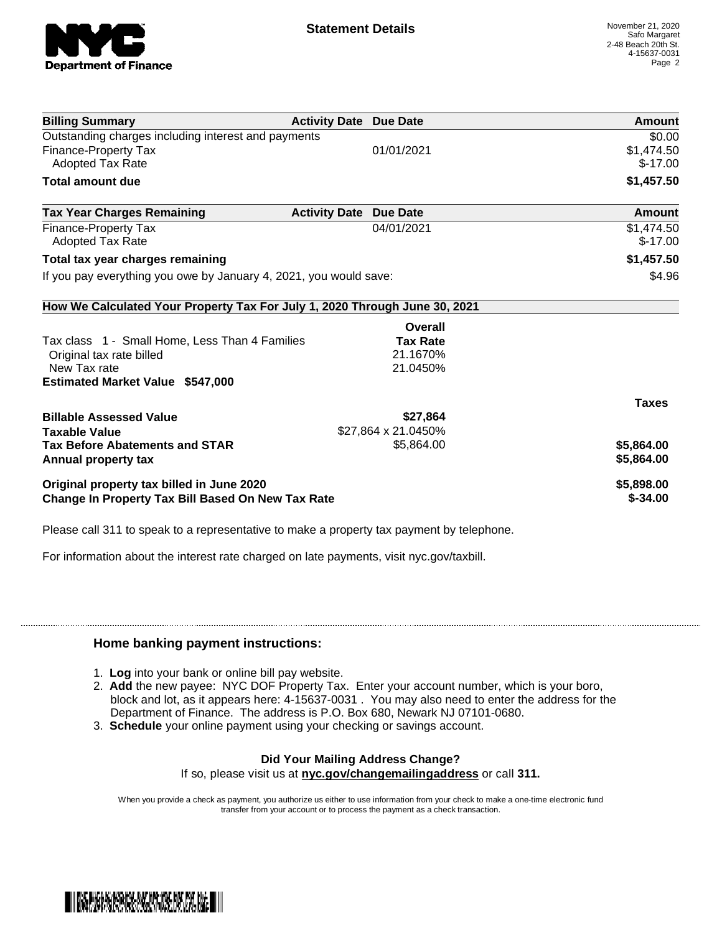

| <b>Billing Summary</b>                                                     | <b>Activity Date Due Date</b> |                     | Amount       |
|----------------------------------------------------------------------------|-------------------------------|---------------------|--------------|
| Outstanding charges including interest and payments                        |                               |                     | \$0.00       |
| <b>Finance-Property Tax</b>                                                |                               | 01/01/2021          | \$1,474.50   |
| Adopted Tax Rate                                                           |                               |                     | $$-17.00$    |
| <b>Total amount due</b>                                                    |                               |                     | \$1,457.50   |
| <b>Tax Year Charges Remaining</b>                                          | <b>Activity Date</b>          | <b>Due Date</b>     | Amount       |
| Finance-Property Tax                                                       |                               | 04/01/2021          | \$1,474.50   |
| <b>Adopted Tax Rate</b>                                                    |                               |                     | $$-17.00$    |
| Total tax year charges remaining                                           |                               |                     | \$1,457.50   |
| If you pay everything you owe by January 4, 2021, you would save:          |                               |                     | \$4.96       |
| How We Calculated Your Property Tax For July 1, 2020 Through June 30, 2021 |                               |                     |              |
|                                                                            |                               | Overall             |              |
| Tax class 1 - Small Home, Less Than 4 Families                             |                               | <b>Tax Rate</b>     |              |
| Original tax rate billed                                                   |                               | 21.1670%            |              |
| New Tax rate                                                               |                               | 21.0450%            |              |
| <b>Estimated Market Value \$547,000</b>                                    |                               |                     |              |
|                                                                            |                               |                     | <b>Taxes</b> |
| <b>Billable Assessed Value</b>                                             |                               | \$27,864            |              |
| <b>Taxable Value</b>                                                       |                               | \$27,864 x 21.0450% |              |
| <b>Tax Before Abatements and STAR</b>                                      |                               | \$5,864.00          | \$5,864.00   |
| Annual property tax                                                        |                               |                     | \$5,864.00   |
| Original property tax billed in June 2020                                  |                               |                     | \$5,898.00   |
| <b>Change In Property Tax Bill Based On New Tax Rate</b>                   |                               |                     | $$ -34.00$   |

Please call 311 to speak to a representative to make a property tax payment by telephone.

For information about the interest rate charged on late payments, visit nyc.gov/taxbill.

## **Home banking payment instructions:**

- 1. **Log** into your bank or online bill pay website.
- 2. **Add** the new payee: NYC DOF Property Tax. Enter your account number, which is your boro, block and lot, as it appears here: 4-15637-0031 . You may also need to enter the address for the Department of Finance. The address is P.O. Box 680, Newark NJ 07101-0680.
- 3. **Schedule** your online payment using your checking or savings account.

## **Did Your Mailing Address Change?**

If so, please visit us at **nyc.gov/changemailingaddress** or call **311.**

When you provide a check as payment, you authorize us either to use information from your check to make a one-time electronic fund transfer from your account or to process the payment as a check transaction.